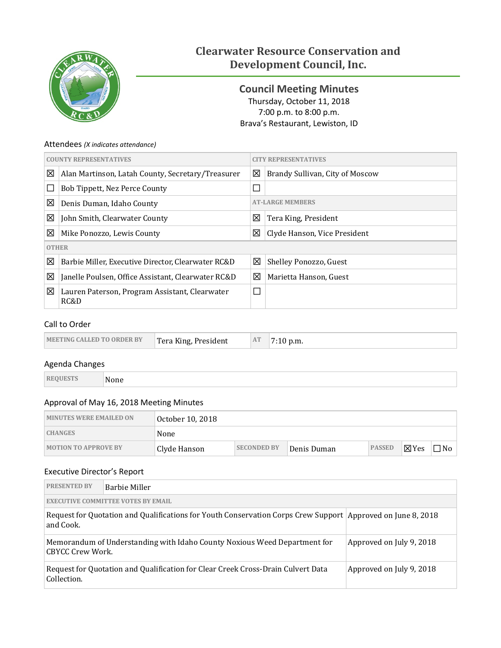

# **Clearwater Resource Conservation and Development Council, Inc.**

<span id="page-0-0"></span>**Council Meeting Minutes** Thursday, October 11, 2018 7:00 p.m. to 8:00 p.m. Brava's Restaurant, Lewiston, ID

### Attendees *(X indicates attendance)*

| <b>COUNTY REPRESENTATIVES</b> |                                                        | 'Y REPRESENTATIVES        |                                 |  |
|-------------------------------|--------------------------------------------------------|---------------------------|---------------------------------|--|
| ⊠                             | Alan Martinson, Latah County, Secretary/Treasurer      | ⊠                         | Brandy Sullivan, City of Moscow |  |
|                               | Bob Tippett, Nez Perce County                          | $\Box$                    |                                 |  |
| ⊠                             | Denis Duman, Idaho County                              | <b>AT-LARGE MEMBERS</b>   |                                 |  |
| 図                             | John Smith, Clearwater County                          | 図<br>Tera King, President |                                 |  |
| 図                             | Mike Ponozzo, Lewis County                             | 図                         | Clyde Hanson, Vice President    |  |
|                               | <b>OTHER</b>                                           |                           |                                 |  |
| ⊠                             | Barbie Miller, Executive Director, Clearwater RC&D     | ⊠                         | Shelley Ponozzo, Guest          |  |
| 図                             | Janelle Poulsen, Office Assistant, Clearwater RC&D     | 区                         | Marietta Hanson, Guest          |  |
| 図                             | Lauren Paterson, Program Assistant, Clearwater<br>RC&D |                           |                                 |  |

## Call to Order

| <b>MEETING CALLED TO ORDER BY</b> | Tera King, President | AT | $7:10$ p.m. |
|-----------------------------------|----------------------|----|-------------|
|-----------------------------------|----------------------|----|-------------|

## Agenda Changes

| None |
|------|
|      |

#### Approval of May 16, 2018 Meeting Minutes

| <b>MINUTES WERE EMAILED ON</b> | ' October 10, 2018 |                    |             |               |                 |           |
|--------------------------------|--------------------|--------------------|-------------|---------------|-----------------|-----------|
| <b>CHANGES</b>                 | None               |                    |             |               |                 |           |
| <b>MOTION TO APPROVE BY</b>    | Clyde Hanson       | <b>SECONDED BY</b> | Denis Duman | <b>PASSED</b> | $\boxtimes$ Yes | $\Box$ No |

#### Executive Director's Report

| <b>PRESENTED BY</b>                                                                                                         | Barbie Miller                             |                          |  |  |
|-----------------------------------------------------------------------------------------------------------------------------|-------------------------------------------|--------------------------|--|--|
|                                                                                                                             | <b>EXECUTIVE COMMITTEE VOTES BY EMAIL</b> |                          |  |  |
| Request for Quotation and Qualifications for Youth Conservation Corps Crew Support Approved on June 8, 2018<br>and Cook.    |                                           |                          |  |  |
| Approved on July 9, 2018<br>Memorandum of Understanding with Idaho County Noxious Weed Department for<br>  CBYCC Crew Work. |                                           |                          |  |  |
| Request for Quotation and Qualification for Clear Creek Cross-Drain Culvert Data<br>Collection.                             |                                           | Approved on July 9, 2018 |  |  |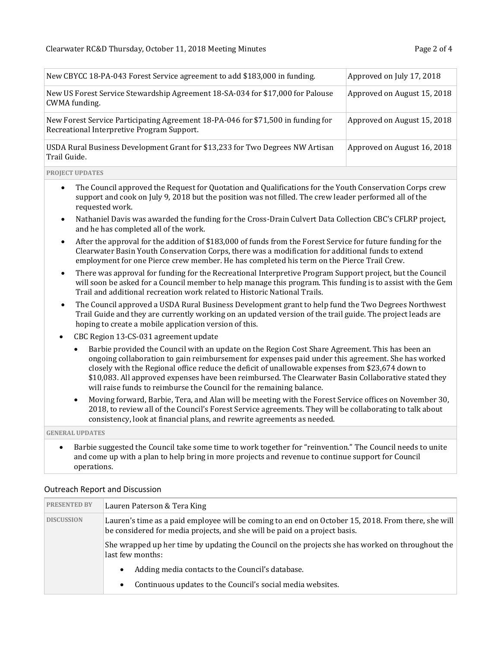| New CBYCC 18-PA-043 Forest Service agreement to add \$183,000 in funding.                                                      | Approved on July 17, 2018   |
|--------------------------------------------------------------------------------------------------------------------------------|-----------------------------|
| New US Forest Service Stewardship Agreement 18-SA-034 for \$17,000 for Palouse<br>CWMA funding.                                | Approved on August 15, 2018 |
| New Forest Service Participating Agreement 18-PA-046 for \$71,500 in funding for<br>Recreational Interpretive Program Support. | Approved on August 15, 2018 |
| USDA Rural Business Development Grant for \$13,233 for Two Degrees NW Artisan<br>Trail Guide.                                  | Approved on August 16, 2018 |

**PROJECT UPDATES**

- The Council approved the Request for Quotation and Qualifications for the Youth Conservation Corps crew support and cook on July 9, 2018 but the position was not filled. The crew leader performed all of the requested work.
- Nathaniel Davis was awarded the funding for the Cross-Drain Culvert Data Collection CBC's CFLRP project, and he has completed all of the work.
- After the approval for the addition of \$183,000 of funds from the Forest Service for future funding for the Clearwater Basin Youth Conservation Corps, there was a modification for additional funds to extend employment for one Pierce crew member. He has completed his term on the Pierce Trail Crew.
- There was approval for funding for the Recreational Interpretive Program Support project, but the Council will soon be asked for a Council member to help manage this program. This funding is to assist with the Gem Trail and additional recreation work related to Historic National Trails.
- The Council approved a USDA Rural Business Development grant to help fund the Two Degrees Northwest Trail Guide and they are currently working on an updated version of the trail guide. The project leads are hoping to create a mobile application version of this.
- CBC Region 13-CS-031 agreement update
	- Barbie provided the Council with an update on the Region Cost Share Agreement. This has been an ongoing collaboration to gain reimbursement for expenses paid under this agreement. She has worked closely with the Regional office reduce the deficit of unallowable expenses from \$23,674 down to \$10,083. All approved expenses have been reimbursed. The Clearwater Basin Collaborative stated they will raise funds to reimburse the Council for the remaining balance.
	- Moving forward, Barbie, Tera, and Alan will be meeting with the Forest Service offices on November 30, 2018, to review all of the Council's Forest Service agreements. They will be collaborating to talk about consistency, look at financial plans, and rewrite agreements as needed.

**GENERAL UPDATES**

• Barbie suggested the Council take some time to work together for "reinvention." The Council needs to unite and come up with a plan to help bring in more projects and revenue to continue support for Council operations.

| <b>PRESENTED BY</b> | Lauren Paterson & Tera King                                                                                                                                                       |
|---------------------|-----------------------------------------------------------------------------------------------------------------------------------------------------------------------------------|
| <b>DISCUSSION</b>   | Lauren's time as a paid employee will be coming to an end on October 15, 2018. From there, she will<br>be considered for media projects, and she will be paid on a project basis. |
|                     | She wrapped up her time by updating the Council on the projects she has worked on throughout the<br>last few months:                                                              |
|                     | Adding media contacts to the Council's database.                                                                                                                                  |
|                     | Continuous updates to the Council's social media websites.<br>$\bullet$                                                                                                           |

#### Outreach Report and Discussion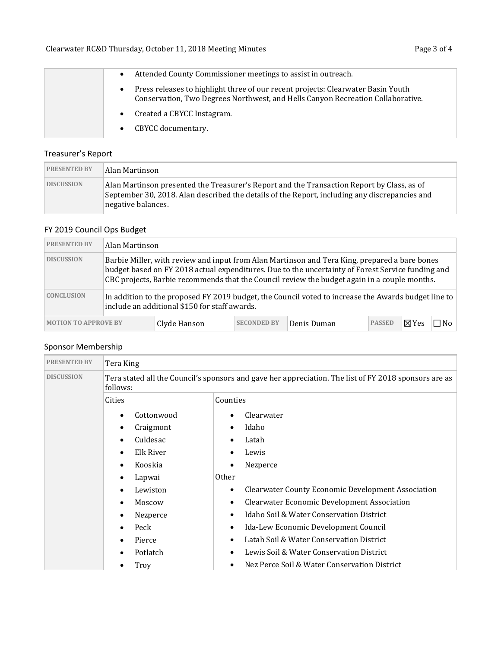| Attended County Commissioner meetings to assist in outreach.                                                                                                        |
|---------------------------------------------------------------------------------------------------------------------------------------------------------------------|
| Press releases to highlight three of our recent projects: Clearwater Basin Youth<br>Conservation, Two Degrees Northwest, and Hells Canyon Recreation Collaborative. |
| Created a CBYCC Instagram.                                                                                                                                          |
| CBYCC documentary.                                                                                                                                                  |

# Treasurer's Report

| <b>PRESENTED BY</b> | Alan Martinson                                                                                                                                                                                                    |
|---------------------|-------------------------------------------------------------------------------------------------------------------------------------------------------------------------------------------------------------------|
| <b>DISCUSSION</b>   | Alan Martinson presented the Treasurer's Report and the Transaction Report by Class, as of<br>September 30, 2018. Alan described the details of the Report, including any discrepancies and<br>negative balances. |

# FY 2019 Council Ops Budget

| <b>PRESENTED BY</b>                                                                                                                                                       | Alan Martinson                                                                                                                                                                                                                                                                                     |              |                    |             |               |               |     |
|---------------------------------------------------------------------------------------------------------------------------------------------------------------------------|----------------------------------------------------------------------------------------------------------------------------------------------------------------------------------------------------------------------------------------------------------------------------------------------------|--------------|--------------------|-------------|---------------|---------------|-----|
| <b>DISCUSSION</b>                                                                                                                                                         | Barbie Miller, with review and input from Alan Martinson and Tera King, prepared a bare bones<br>budget based on FY 2018 actual expenditures. Due to the uncertainty of Forest Service funding and<br>CBC projects, Barbie recommends that the Council review the budget again in a couple months. |              |                    |             |               |               |     |
| <b>CONCLUSION</b><br>In addition to the proposed FY 2019 budget, the Council voted to increase the Awards budget line to<br>include an additional \$150 for staff awards. |                                                                                                                                                                                                                                                                                                    |              |                    |             |               |               |     |
| <b>MOTION TO APPROVE BY</b>                                                                                                                                               |                                                                                                                                                                                                                                                                                                    | Clyde Hanson | <b>SECONDED BY</b> | Denis Duman | <b>PASSED</b> | $\nabla Y$ es | ∃No |

# Sponsor Membership

| <b>PRESENTED BY</b> | Tera King                                                                                                         |                                                                |  |  |
|---------------------|-------------------------------------------------------------------------------------------------------------------|----------------------------------------------------------------|--|--|
| <b>DISCUSSION</b>   | Tera stated all the Council's sponsors and gave her appreciation. The list of FY 2018 sponsors are as<br>follows: |                                                                |  |  |
|                     | Cities                                                                                                            | Counties                                                       |  |  |
|                     | Cottonwood                                                                                                        | Clearwater                                                     |  |  |
|                     | Craigmont                                                                                                         | Idaho                                                          |  |  |
|                     | Culdesac                                                                                                          | Latah                                                          |  |  |
|                     | Elk River                                                                                                         | Lewis                                                          |  |  |
|                     | Kooskia                                                                                                           | Nezperce                                                       |  |  |
|                     | Lapwai                                                                                                            | <b>Other</b>                                                   |  |  |
|                     | Lewiston                                                                                                          | <b>Clearwater County Economic Development Association</b><br>٠ |  |  |
|                     | Moscow                                                                                                            | <b>Clearwater Economic Development Association</b><br>٠        |  |  |
|                     | Nezperce                                                                                                          | Idaho Soil & Water Conservation District                       |  |  |
|                     | Peck                                                                                                              | Ida-Lew Economic Development Council<br>$\bullet$              |  |  |
|                     | Pierce                                                                                                            | Latah Soil & Water Conservation District                       |  |  |
|                     | Potlatch                                                                                                          | Lewis Soil & Water Conservation District                       |  |  |
|                     | Troy                                                                                                              | Nez Perce Soil & Water Conservation District                   |  |  |